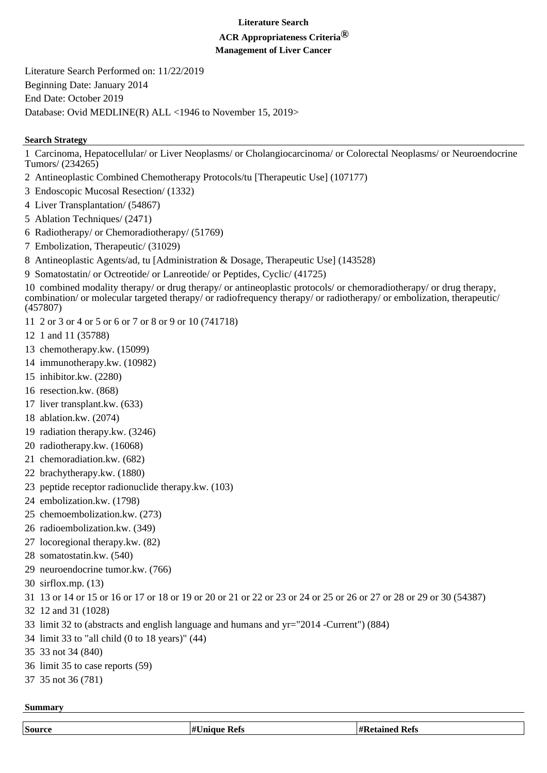#### **Literature Search**

# **ACR Appropriateness Criteria®**

**Management of Liver Cancer**

Literature Search Performed on: 11/22/2019 Beginning Date: January 2014 End Date: October 2019 Database: Ovid MEDLINE(R) ALL <1946 to November 15, 2019>

## **Search Strategy**

1 Carcinoma, Hepatocellular/ or Liver Neoplasms/ or Cholangiocarcinoma/ or Colorectal Neoplasms/ or Neuroendocrine Tumors/ (234265)

- 2 Antineoplastic Combined Chemotherapy Protocols/tu [Therapeutic Use] (107177)
- 3 Endoscopic Mucosal Resection/ (1332)
- 4 Liver Transplantation/ (54867)
- 5 Ablation Techniques/ (2471)
- 6 Radiotherapy/ or Chemoradiotherapy/ (51769)
- 7 Embolization, Therapeutic/ (31029)
- 8 Antineoplastic Agents/ad, tu [Administration & Dosage, Therapeutic Use] (143528)
- 9 Somatostatin/ or Octreotide/ or Lanreotide/ or Peptides, Cyclic/ (41725)

10 combined modality therapy/ or drug therapy/ or antineoplastic protocols/ or chemoradiotherapy/ or drug therapy, combination/ or molecular targeted therapy/ or radiofrequency therapy/ or radiotherapy/ or embolization, therapeutic/ (457807)

- 11 2 or 3 or 4 or 5 or 6 or 7 or 8 or 9 or 10 (741718)
- 12 1 and 11 (35788)
- 13 chemotherapy.kw. (15099)
- 14 immunotherapy.kw. (10982)
- 15 inhibitor.kw. (2280)
- 16 resection.kw. (868)
- 17 liver transplant.kw. (633)
- 18 ablation.kw. (2074)
- 19 radiation therapy.kw. (3246)
- 20 radiotherapy.kw. (16068)
- 21 chemoradiation.kw. (682)
- 22 brachytherapy.kw. (1880)
- 23 peptide receptor radionuclide therapy.kw. (103)
- 24 embolization.kw. (1798)
- 25 chemoembolization.kw. (273)
- 26 radioembolization.kw. (349)
- 27 locoregional therapy.kw. (82)
- 28 somatostatin.kw. (540)
- 29 neuroendocrine tumor.kw. (766)
- 30 sirflox.mp. (13)
- 31 13 or 14 or 15 or 16 or 17 or 18 or 19 or 20 or 21 or 22 or 23 or 24 or 25 or 26 or 27 or 28 or 29 or 30 (54387)
- 32 12 and 31 (1028)
- 33 limit 32 to (abstracts and english language and humans and yr="2014 -Current") (884)
- 34 limit 33 to "all child (0 to 18 years)" (44)
- 35 33 not 34 (840)
- 36 limit 35 to case reports (59)
- 37 35 not 36 (781)

### **Summary**

| Source | $\overline{11}$<br>tefs | Kets<br>הי |
|--------|-------------------------|------------|
|        |                         |            |